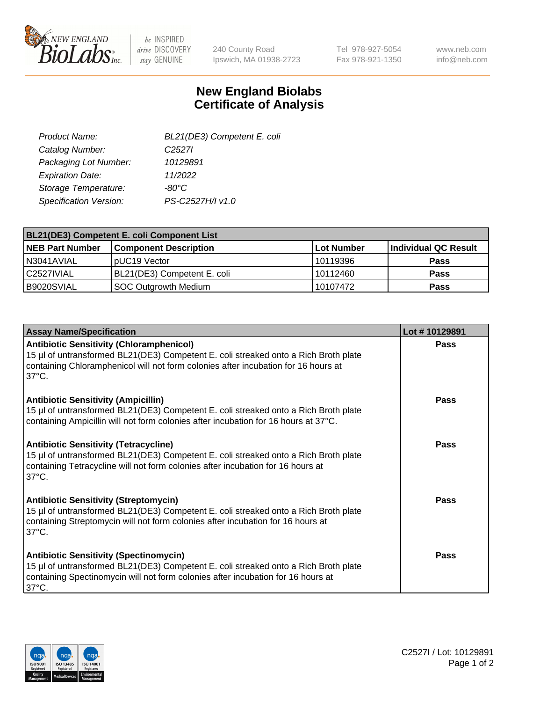

be INSPIRED drive DISCOVERY stay GENUINE

240 County Road Ipswich, MA 01938-2723 Tel 978-927-5054 Fax 978-921-1350

www.neb.com info@neb.com

## **New England Biolabs Certificate of Analysis**

| BL21(DE3) Competent E. coli |
|-----------------------------|
| C <sub>2527</sub>           |
| 10129891                    |
| 11/2022                     |
| -80°C                       |
| PS-C2527H/I v1.0            |
|                             |

| <b>BL21(DE3) Competent E. coli Component List</b> |                              |            |                      |  |
|---------------------------------------------------|------------------------------|------------|----------------------|--|
| <b>NEB Part Number</b>                            | <b>Component Description</b> | Lot Number | Individual QC Result |  |
| N3041AVIAL                                        | pUC19 Vector                 | 10119396   | <b>Pass</b>          |  |
| C2527IVIAL                                        | BL21(DE3) Competent E. coli  | 10112460   | <b>Pass</b>          |  |
| B9020SVIAL                                        | SOC Outgrowth Medium         | 10107472   | <b>Pass</b>          |  |

| <b>Assay Name/Specification</b>                                                                                                                                                                                                                 | Lot #10129891 |
|-------------------------------------------------------------------------------------------------------------------------------------------------------------------------------------------------------------------------------------------------|---------------|
| <b>Antibiotic Sensitivity (Chloramphenicol)</b><br>15 µl of untransformed BL21(DE3) Competent E. coli streaked onto a Rich Broth plate<br>containing Chloramphenicol will not form colonies after incubation for 16 hours at<br>$37^{\circ}$ C. | <b>Pass</b>   |
| <b>Antibiotic Sensitivity (Ampicillin)</b><br>15 µl of untransformed BL21(DE3) Competent E. coli streaked onto a Rich Broth plate<br>containing Ampicillin will not form colonies after incubation for 16 hours at 37°C.                        | Pass          |
| <b>Antibiotic Sensitivity (Tetracycline)</b><br>15 µl of untransformed BL21(DE3) Competent E. coli streaked onto a Rich Broth plate<br>containing Tetracycline will not form colonies after incubation for 16 hours at<br>$37^{\circ}$ C.       | Pass          |
| <b>Antibiotic Sensitivity (Streptomycin)</b><br>15 µl of untransformed BL21(DE3) Competent E. coli streaked onto a Rich Broth plate<br>containing Streptomycin will not form colonies after incubation for 16 hours at<br>$37^{\circ}$ C.       | Pass          |
| <b>Antibiotic Sensitivity (Spectinomycin)</b><br>15 µl of untransformed BL21(DE3) Competent E. coli streaked onto a Rich Broth plate<br>containing Spectinomycin will not form colonies after incubation for 16 hours at<br>$37^{\circ}$ C.     | Pass          |